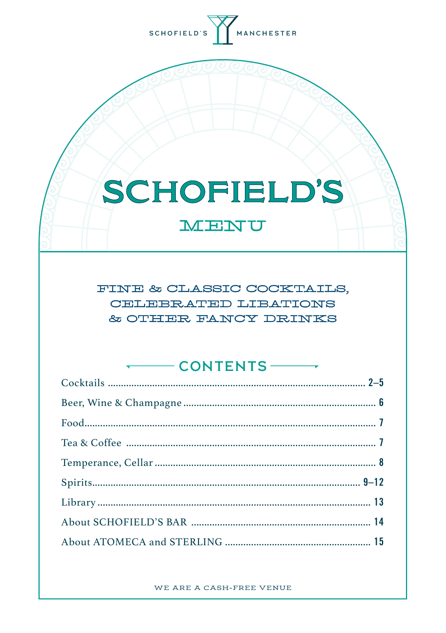

# **SCHOFIELD'S**

MENU

FINE & CLASSIC COCKTAILS, CELEBRATED LIBATIONS & OTHER FANCY DRINKS

. . . . .

| $\sqrt{2}$ CONIENIS $\sqrt{2}$ |
|--------------------------------|
|                                |
|                                |
|                                |
|                                |
|                                |
|                                |
|                                |
|                                |
|                                |

WE ARE A CASH-FREE VENUE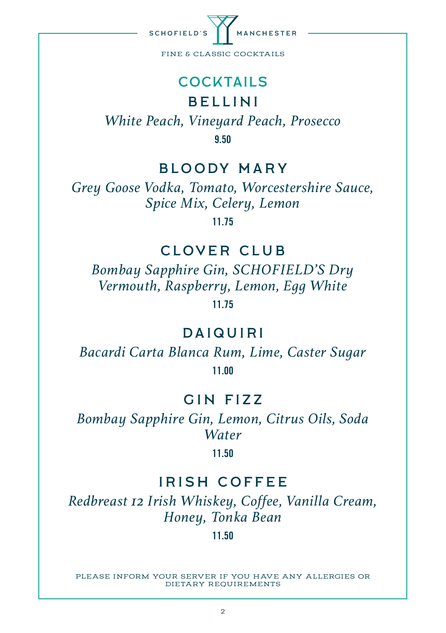

#### COCKTAILS

## BELLINI

*White Peach, Vineyard Peach, Prosecco* 9.50

#### BLOODY MARY

*Grey Goose Vodka, Tomato, Worcestershire Sauce, Spice Mix, Celery, Lemon*

11.75

## CLOVER CLUB

*Bombay Sapphire Gin, SCHOFIELD'S Dry Vermouth, Raspberry, Lemon, Egg White* 11.75

## **DAIQUIRI**

*Bacardi Carta Blanca Rum, Lime, Caster Sugar* 11.00

### GIN FIZZ

*Bombay Sapphire Gin, Lemon, Citrus Oils, Soda Water*

11.50

## IRISH COFFEE

*Redbreast 12 Irish Whiskey, Coffee, Vanilla Cream, Honey, Tonka Bean*

11.50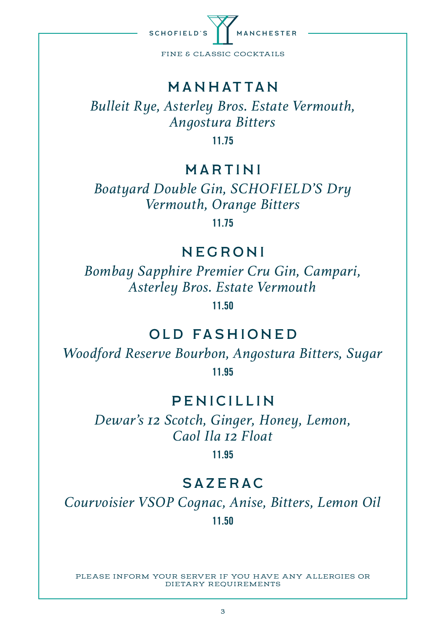

#### manhattan

*Bulleit Rye, Asterley Bros. Estate Vermouth, Angostura Bitters*

11.75

#### MARTINI

*Boatyard Double Gin, SCHOFIELD'S Dry Vermouth, Orange Bitters*

11.75

### NEGRONI

*Bombay Sapphire Premier Cru Gin, Campari, Asterley Bros. Estate Vermouth*

11.50

### OLD FASHIONED

*Woodford Reserve Bourbon, Angostura Bitters, Sugar*

11.95

### PENICILLIN

*Dewar's 12 Scotch, Ginger, Honey, Lemon, Caol Ila 12 Float*

11.95

### SAZERAC

*Courvoisier VSOP Cognac, Anise, Bitters, Lemon Oil*

11.50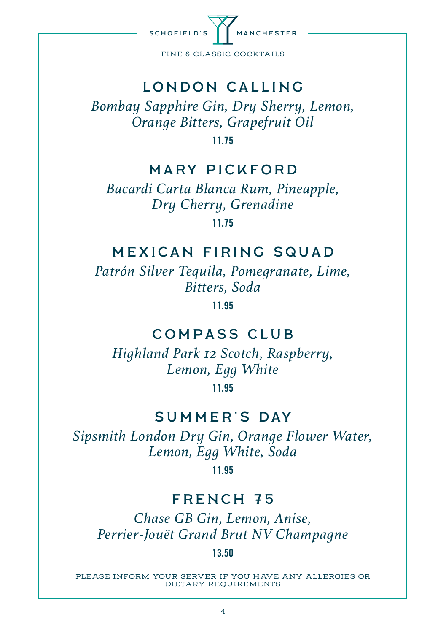

## London calling

*Bombay Sapphire Gin, Dry Sherry, Lemon, Orange Bitters, Grapefruit Oil*

11.75

#### Mary Pickford

*Bacardi Carta Blanca Rum, Pineapple, Dry Cherry, Grenadine* 11.75

#### Mexican firing squad

*Patrón Silver Tequila, Pomegranate, Lime, Bitters, Soda*

11.95

## compass club

*Highland Park 12 Scotch, Raspberry, Lemon, Egg White*  11.95

#### summer's day

*Sipsmith London Dry Gin, Orange Flower Water, Lemon, Egg White, Soda* 

11.95

#### french 75

*Chase GB Gin, Lemon, Anise, Perrier-Jouët Grand Brut NV Champagne*

#### 13.50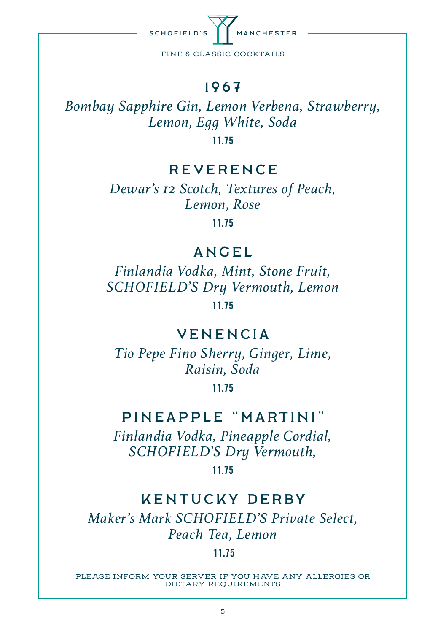

#### 1967

*Bombay Sapphire Gin, Lemon Verbena, Strawberry, Lemon, Egg White, Soda*

11.75

#### **REVERENCE**

*Dewar's 12 Scotch, Textures of Peach, Lemon, Rose* 11.75

#### **ANGEL**

*Finlandia Vodka, Mint, Stone Fruit, SCHOFIELD'S Dry Vermouth, Lemon* 11.75

#### **VENENCIA**

*Tio Pepe Fino Sherry, Ginger, Lime, Raisin, Soda*

11.75

## Pineapple "Martini"

*Finlandia Vodka, Pineapple Cordial, SCHOFIELD'S Dry Vermouth,*

11.75

#### kentucky derby

*Maker's Mark SCHOFIELD'S Private Select, Peach Tea, Lemon*

#### 11.75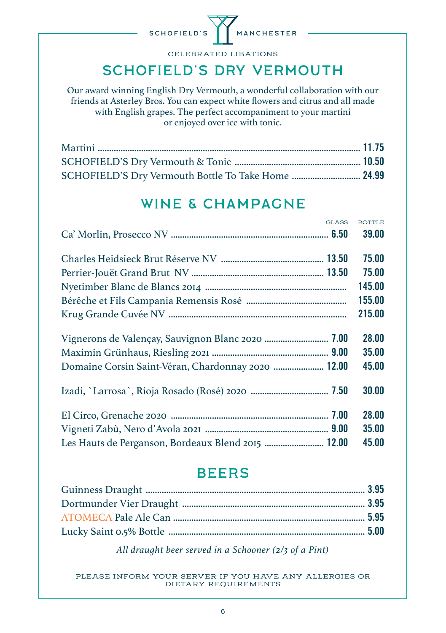

CELEBRATED LIBATIONS

## schofield's dry vermouth

Our award winning English Dry Vermouth, a wonderful collaboration with our friends at Asterley Bros. You can expect white flowers and citrus and all made with English grapes. The perfect accompaniment to your martini or enjoyed over ice with tonic.

| SCHOFIELD'S Dry Vermouth Bottle To Take Home  24.99 |  |
|-----------------------------------------------------|--|

## WINE & CHAMPAGNE

| GLASS.                                             | BOTTLE. |
|----------------------------------------------------|---------|
|                                                    | 39.00   |
|                                                    | 75.00   |
|                                                    | 75.00   |
|                                                    | 145.00  |
|                                                    | 155.00  |
|                                                    | 215.00  |
|                                                    | 28.00   |
|                                                    | 35.00   |
| Domaine Corsin Saint-Véran, Chardonnay 2020  12.00 | 45.00   |
|                                                    | 30.00   |
|                                                    | 28.00   |
|                                                    | 35.00   |
| Les Hauts de Perganson, Bordeaux Blend 2015  12.00 | 45.00   |

#### **BEERS**

*All draught beer served in a Schooner (2/3 of a Pint)*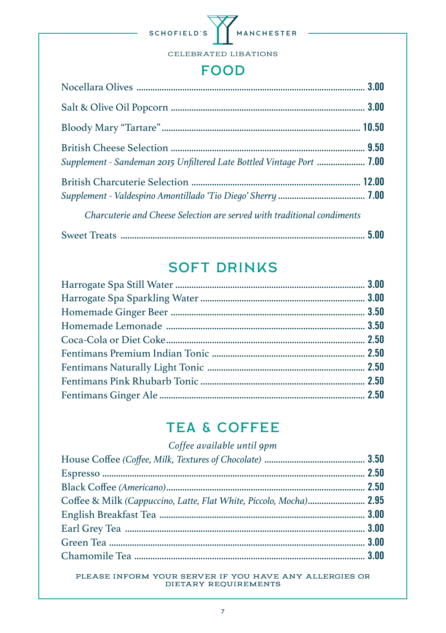

#### **FOOD**

| <b>Supplement - Sandeman 2015 Unfiltered Late Bottled Vintage Port  7.00</b> |  |
|------------------------------------------------------------------------------|--|
|                                                                              |  |
| Charcuterie and Cheese Selection are served with traditional condiments      |  |
|                                                                              |  |

## **SOFT DRINKS**

## **TEA & COFFEE**

| Coffee & Milk (Cappuccino, Latte, Flat White, Piccolo, Mocha) 2.95 |
|--------------------------------------------------------------------|
|                                                                    |
|                                                                    |
|                                                                    |
|                                                                    |
|                                                                    |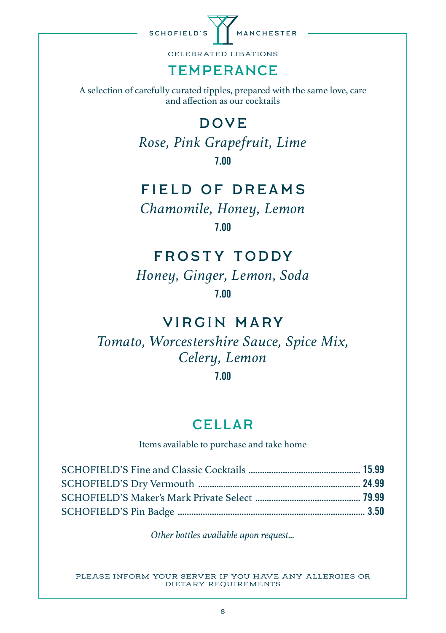

CELEBRATED LIBATIONS

## TEMPERANCE

A selection of carefully curated tipples, prepared with the same love, care and affection as our cocktails

## **DOVE**

*Rose, Pink Grapefruit, Lime* 7.00

#### field of dreams

*Chamomile, Honey, Lemon* 7.00

## Frosty toddy

*Honey, Ginger, Lemon, Soda* 7.00

## Virgin mary

## *Tomato, Worcestershire Sauce, Spice Mix, Celery, Lemon*

7.00

#### CELLAR

Items available to purchase and take home

*Other bottles available upon request...*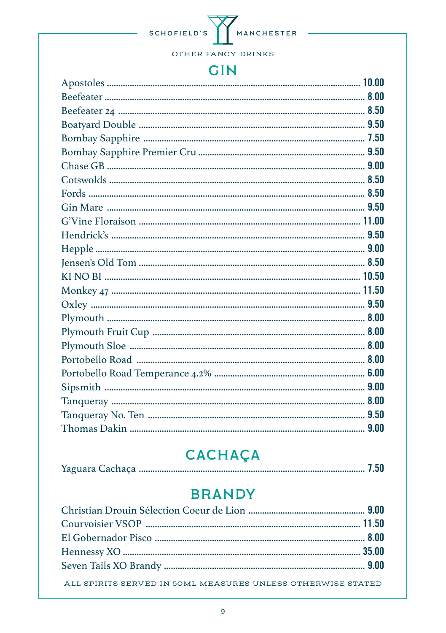

#### **GIN**

# **CACHAÇA**

|--|--|--|--|--|

## **BRANDY**

| ALL SPIRITS SERVED IN 50ML MEASURES UNLESS OTHERWISE STATED |  |
|-------------------------------------------------------------|--|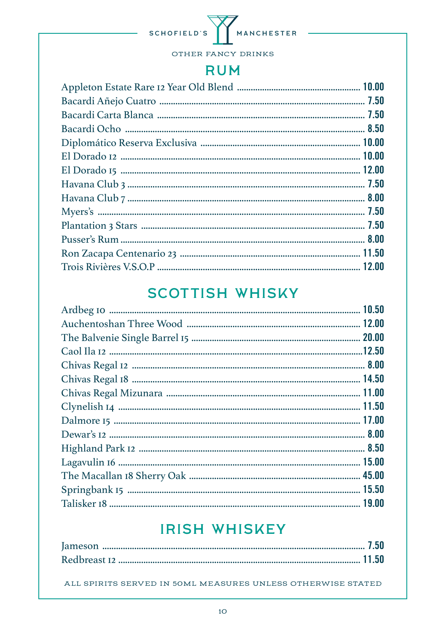

#### **RUM**

## **SCOTTISH WHISKY**

## **IRISH WHISKEY**

ALL SPIRITS SERVED IN 50ML MEASURES UNLESS OTHERWISE STATED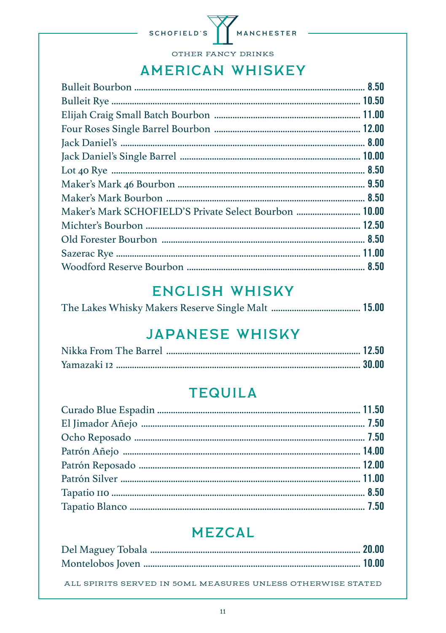

OTHER FANCY DRINKS

## **AMERICAN WHISKEY**

| Maker's Mark SCHOFIELD'S Private Select Bourbon  10.00 |  |
|--------------------------------------------------------|--|
|                                                        |  |
|                                                        |  |
|                                                        |  |
|                                                        |  |
|                                                        |  |

## **ENGLISH WHISKY**

|--|--|--|--|--|--|

## **JAPANESE WHISKY**

## **TEQUILA**

## **MEZCAL**

ALL SPIRITS SERVED IN 50ML MEASURES UNLESS OTHERWISE STATED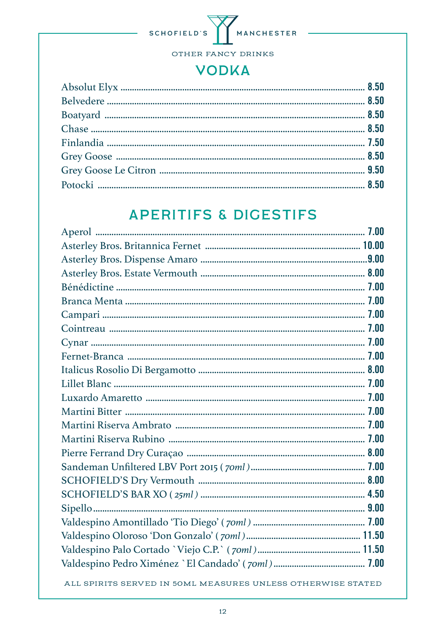

## **VODKA**

# **APERITIFS & DIGESTIFS**

ALL SPIRITS SERVED IN 50ML MEASURES UNLESS OTHERWISE STATED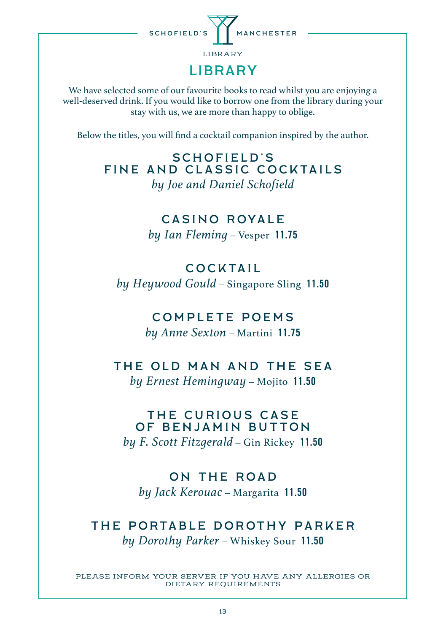

We have selected some of our favourite books to read whilst you are enjoying a well-deserved drink. If you would like to borrow one from the library during your stay with us, we are more than happy to oblige.

Below the titles, you will find a cocktail companion inspired by the author.

SCHOFIELD'S Fine and Classic Cocktails *by Joe and Daniel Schofield*

> CASINO ROYALe *by Ian Fleming –* Vesper 11.75

## **COCKTAIL**

*by Heywood Gould –* Singapore Sling 11.50

#### COMPLETE POEMS

*by Anne Sexton –* Martini 11.75

# The Old Man and The Sea

*by Ernest Hemingway –* Mojito 11.50

#### THE CURIOUS CASE of Benjamin Button

*by F. Scott Fitzgerald –* Gin Rickey 11.50

#### On The Road

*by Jack Kerouac –* Margarita 11.50

#### The Portable Dorothy parker *by Dorothy Parker –* Whiskey Sour 11.50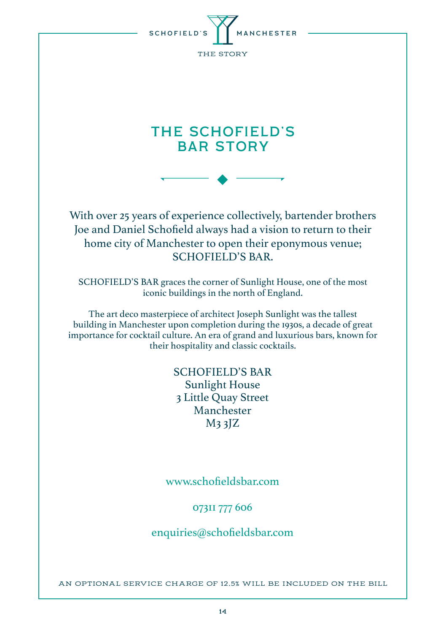

## THE SCHOFIELD'S BAR STORY

 $\blacklozenge$ 

With over 25 years of experience collectively, bartender brothers Joe and Daniel Schofield always had a vision to return to their home city of Manchester to open their eponymous venue; SCHOFIELD'S BAR.

SCHOFIELD'S BAR graces the corner of Sunlight House, one of the most iconic buildings in the north of England.

The art deco masterpiece of architect Joseph Sunlight was the tallest building in Manchester upon completion during the 1930s, a decade of great importance for cocktail culture. An era of grand and luxurious bars, known for their hospitality and classic cocktails.

> SCHOFIELD'S BAR Sunlight House 3 Little Quay Street Manchester M3 3JZ

#### www.schofieldsbar.com

#### 07311 777 606

enquiries@schofieldsbar.com

AN OPTIONAL SERVICE CHARGE OF 12.5% WILL BE INCLUDED ON THE BILL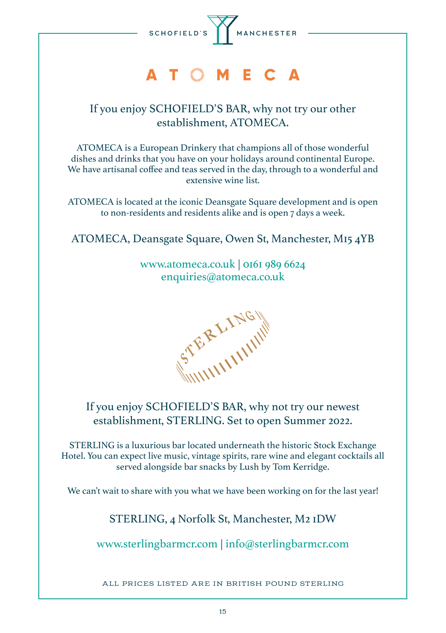

# ATOMECA

#### If you enjoy SCHOFIELD'S BAR, why not try our other establishment, ATOMECA.

ATOMECA is a European Drinkery that champions all of those wonderful dishes and drinks that you have on your holidays around continental Europe. We have artisanal coffee and teas served in the day, through to a wonderful and extensive wine list.

ATOMECA is located at the iconic Deansgate Square development and is open to non-residents and residents alike and is open 7 days a week.

#### ATOMECA, Deansgate Square, Owen St, Manchester, M15 4YB

www.atomeca.co.uk | 0161 989 6624 enquiries@atomeca.co.uk

STERLING

#### If you enjoy SCHOFIELD'S BAR, why not try our newest establishment, STERLING. Set to open Summer 2022.

STERLING is a luxurious bar located underneath the historic Stock Exchange Hotel. You can expect live music, vintage spirits, rare wine and elegant cocktails all served alongside bar snacks by Lush by Tom Kerridge.

We can't wait to share with you what we have been working on for the last year!

STERLING, 4 Norfolk St, Manchester, M2 1DW

www.sterlingbarmcr.com | info@sterlingbarmcr.com

ALL PRICES LISTED ARE IN BRITISH POUND STERLING